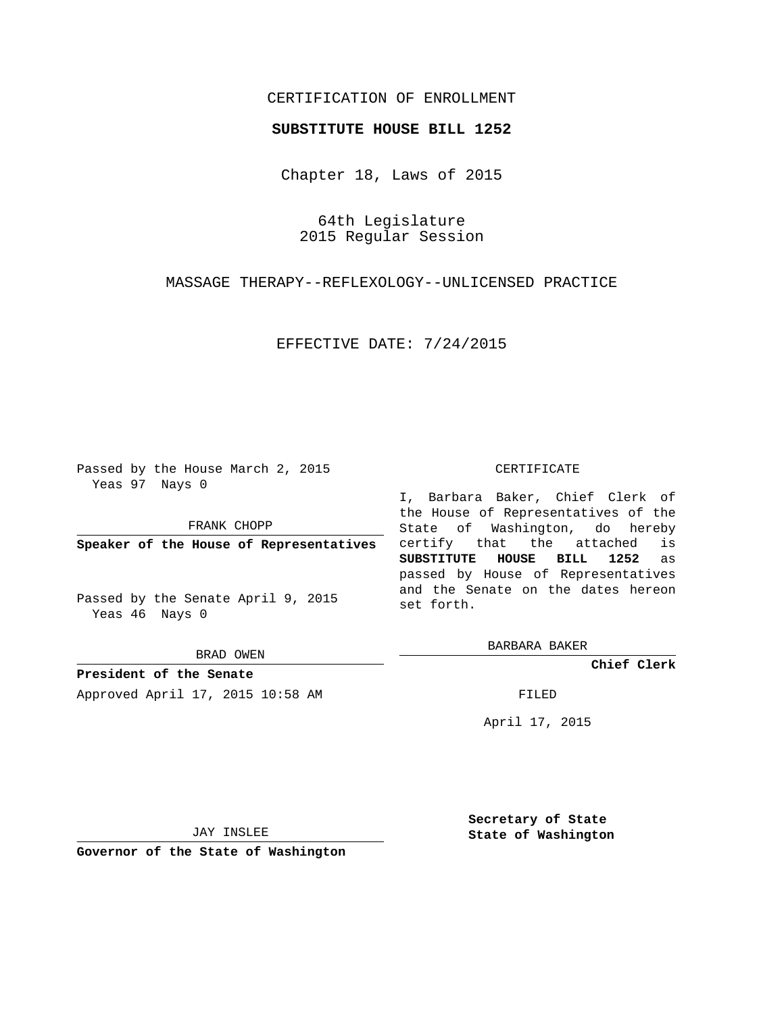## CERTIFICATION OF ENROLLMENT

## **SUBSTITUTE HOUSE BILL 1252**

Chapter 18, Laws of 2015

64th Legislature 2015 Regular Session

MASSAGE THERAPY--REFLEXOLOGY--UNLICENSED PRACTICE

EFFECTIVE DATE: 7/24/2015

Passed by the House March 2, 2015 Yeas 97 Nays 0

FRANK CHOPP

**Speaker of the House of Representatives**

Passed by the Senate April 9, 2015 Yeas 46 Nays 0

BRAD OWEN

**President of the Senate** Approved April 17, 2015 10:58 AM FILED

## CERTIFICATE

I, Barbara Baker, Chief Clerk of the House of Representatives of the State of Washington, do hereby certify that the attached is **SUBSTITUTE HOUSE BILL 1252** as passed by House of Representatives and the Senate on the dates hereon set forth.

BARBARA BAKER

**Chief Clerk**

April 17, 2015

JAY INSLEE

**Governor of the State of Washington**

**Secretary of State State of Washington**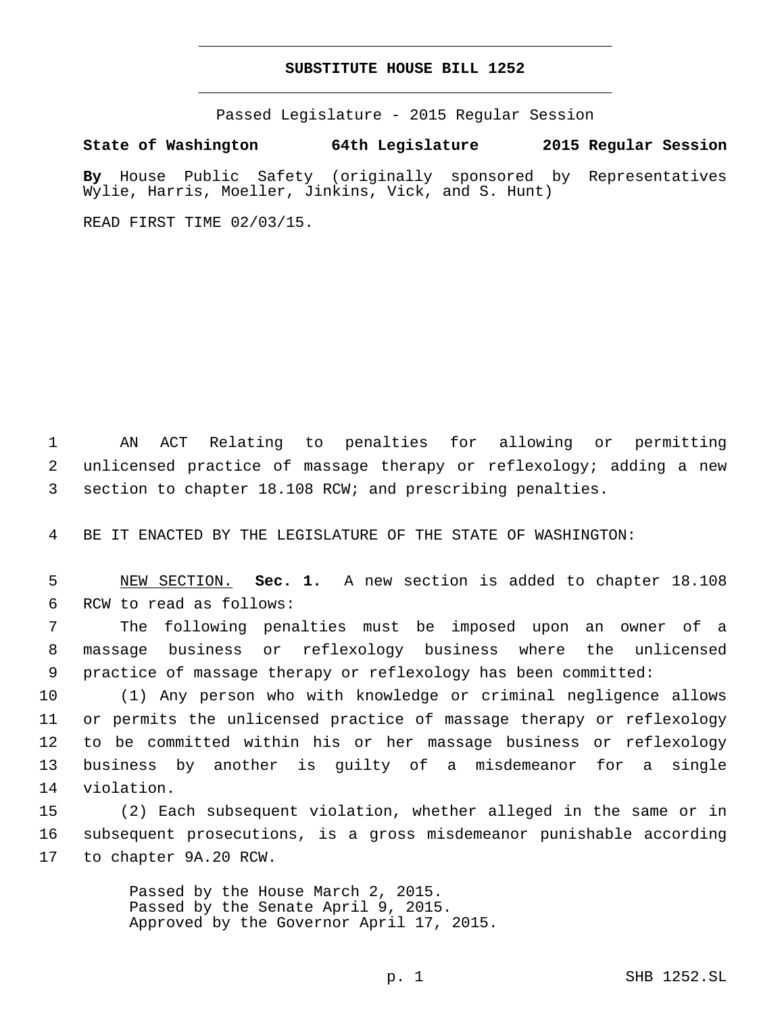## **SUBSTITUTE HOUSE BILL 1252**

Passed Legislature - 2015 Regular Session

**State of Washington 64th Legislature 2015 Regular Session**

**By** House Public Safety (originally sponsored by Representatives Wylie, Harris, Moeller, Jinkins, Vick, and S. Hunt)

READ FIRST TIME 02/03/15.

1 AN ACT Relating to penalties for allowing or permitting 2 unlicensed practice of massage therapy or reflexology; adding a new 3 section to chapter 18.108 RCW; and prescribing penalties.

4 BE IT ENACTED BY THE LEGISLATURE OF THE STATE OF WASHINGTON:

5 NEW SECTION. **Sec. 1.** A new section is added to chapter 18.108 6 RCW to read as follows:

7 The following penalties must be imposed upon an owner of a 8 massage business or reflexology business where the unlicensed 9 practice of massage therapy or reflexology has been committed:

 (1) Any person who with knowledge or criminal negligence allows or permits the unlicensed practice of massage therapy or reflexology to be committed within his or her massage business or reflexology business by another is guilty of a misdemeanor for a single 14 violation.

15 (2) Each subsequent violation, whether alleged in the same or in 16 subsequent prosecutions, is a gross misdemeanor punishable according 17 to chapter 9A.20 RCW.

> Passed by the House March 2, 2015. Passed by the Senate April 9, 2015. Approved by the Governor April 17, 2015.